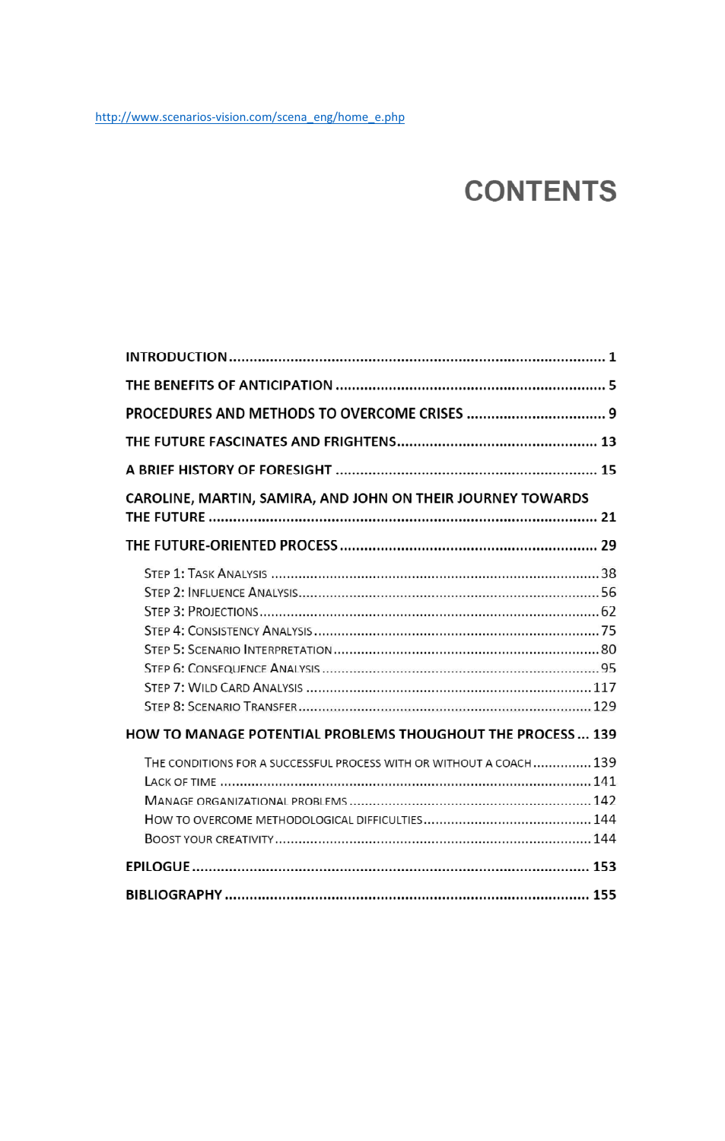# **CONTENTS**

| CAROLINE, MARTIN, SAMIRA, AND JOHN ON THEIR JOURNEY TOWARDS         |  |
|---------------------------------------------------------------------|--|
|                                                                     |  |
|                                                                     |  |
| <b>HOW TO MANAGE POTENTIAL PROBLEMS THOUGHOUT THE PROCESS 139</b>   |  |
| THE CONDITIONS FOR A SUCCESSFUL PROCESS WITH OR WITHOUT A COACH 139 |  |
|                                                                     |  |
|                                                                     |  |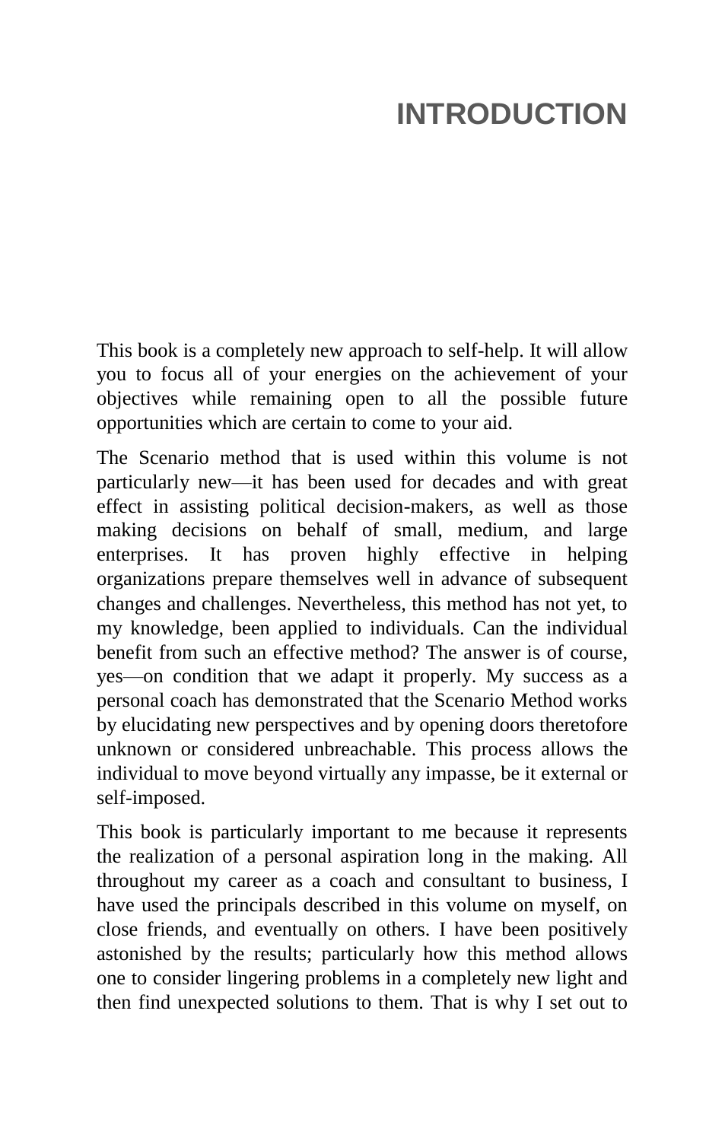# **INTRODUCTION**

This book is a completely new approach to self-help. It will allow you to focus all of your energies on the achievement of your objectives while remaining open to all the possible future opportunities which are certain to come to your aid.

The Scenario method that is used within this volume is not particularly new—it has been used for decades and with great effect in assisting political decision-makers, as well as those making decisions on behalf of small, medium, and large enterprises. It has proven highly effective in helping organizations prepare themselves well in advance of subsequent changes and challenges. Nevertheless, this method has not yet, to my knowledge, been applied to individuals. Can the individual benefit from such an effective method? The answer is of course, yes—on condition that we adapt it properly. My success as a personal coach has demonstrated that the Scenario Method works by elucidating new perspectives and by opening doors theretofore unknown or considered unbreachable. This process allows the individual to move beyond virtually any impasse, be it external or self-imposed.

This book is particularly important to me because it represents the realization of a personal aspiration long in the making. All throughout my career as a coach and consultant to business, I have used the principals described in this volume on myself, on close friends, and eventually on others. I have been positively astonished by the results; particularly how this method allows one to consider lingering problems in a completely new light and then find unexpected solutions to them. That is why I set out to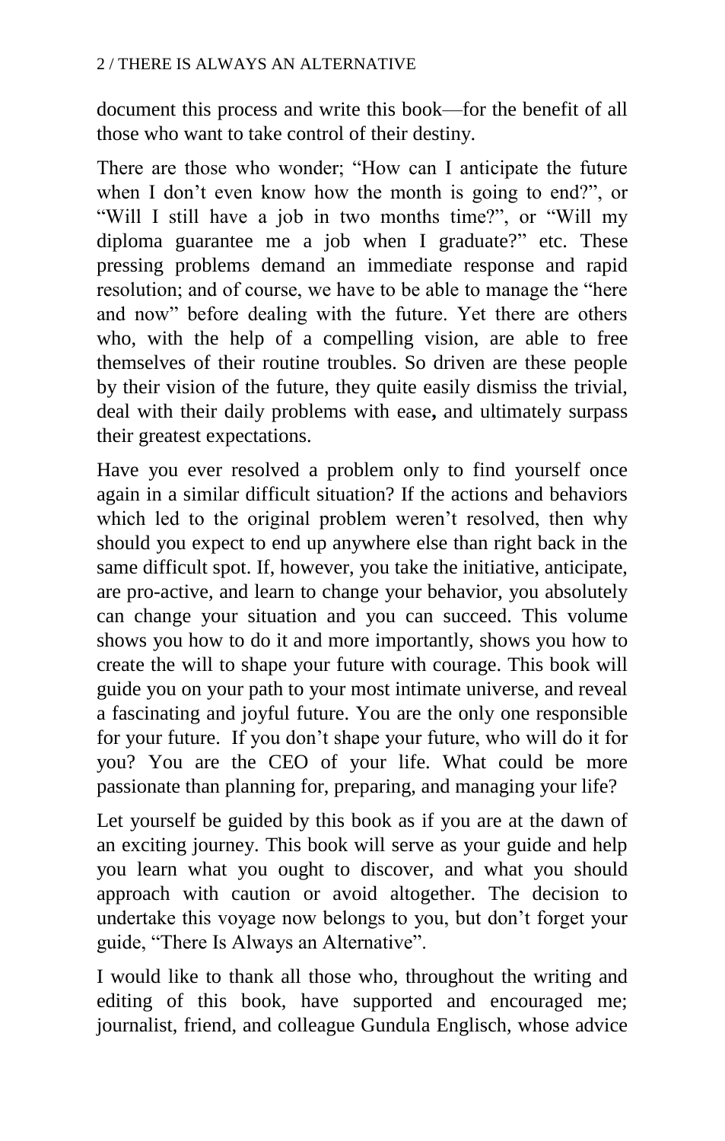document this process and write this book—for the benefit of all those who want to take control of their destiny.

There are those who wonder; "How can I anticipate the future when I don't even know how the month is going to end?", or "Will I still have a job in two months time?", or "Will my diploma guarantee me a job when I graduate?" etc. These pressing problems demand an immediate response and rapid resolution; and of course, we have to be able to manage the "here" and now" before dealing with the future. Yet there are others who, with the help of a compelling vision, are able to free themselves of their routine troubles. So driven are these people by their vision of the future, they quite easily dismiss the trivial, deal with their daily problems with ease**,** and ultimately surpass their greatest expectations.

Have you ever resolved a problem only to find yourself once again in a similar difficult situation? If the actions and behaviors which led to the original problem weren't resolved, then why should you expect to end up anywhere else than right back in the same difficult spot. If, however, you take the initiative, anticipate, are pro-active, and learn to change your behavior, you absolutely can change your situation and you can succeed. This volume shows you how to do it and more importantly, shows you how to create the will to shape your future with courage. This book will guide you on your path to your most intimate universe, and reveal a fascinating and joyful future. You are the only one responsible for your future. If you don't shape your future, who will do it for you? You are the CEO of your life. What could be more passionate than planning for, preparing, and managing your life?

Let yourself be guided by this book as if you are at the dawn of an exciting journey. This book will serve as your guide and help you learn what you ought to discover, and what you should approach with caution or avoid altogether. The decision to undertake this voyage now belongs to you, but don't forget your guide, "There Is Always an Alternative".

I would like to thank all those who, throughout the writing and editing of this book, have supported and encouraged me; journalist, friend, and colleague Gundula Englisch, whose advice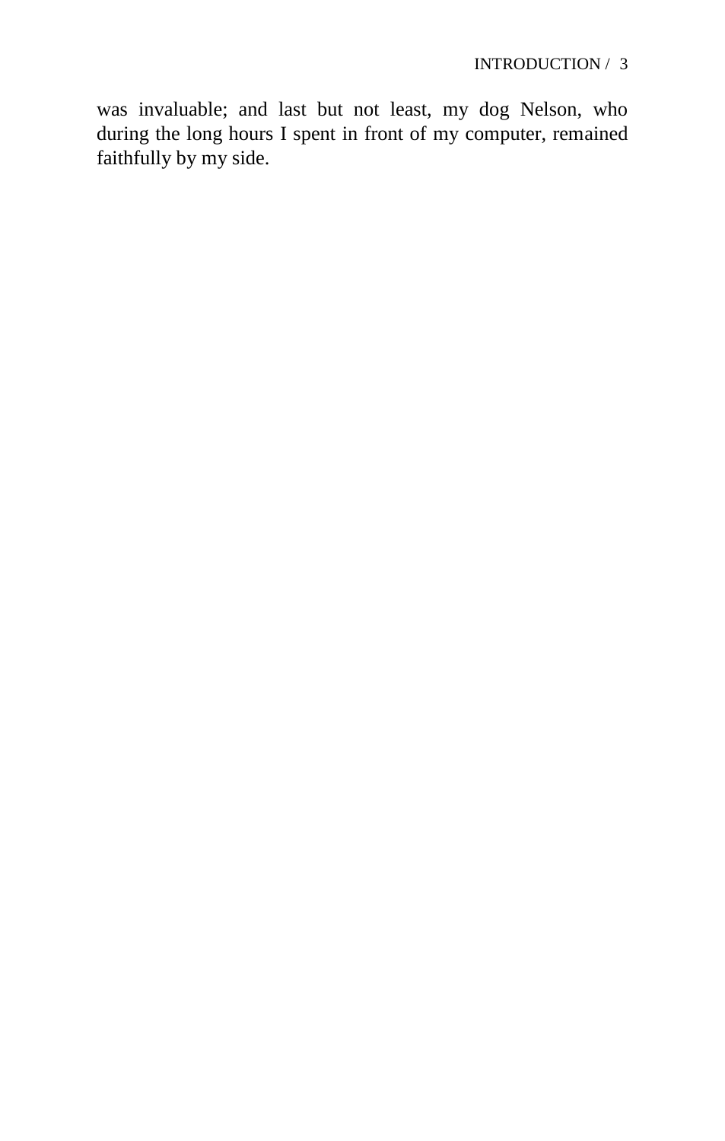was invaluable; and last but not least, my dog Nelson, who during the long hours I spent in front of my computer, remained faithfully by my side.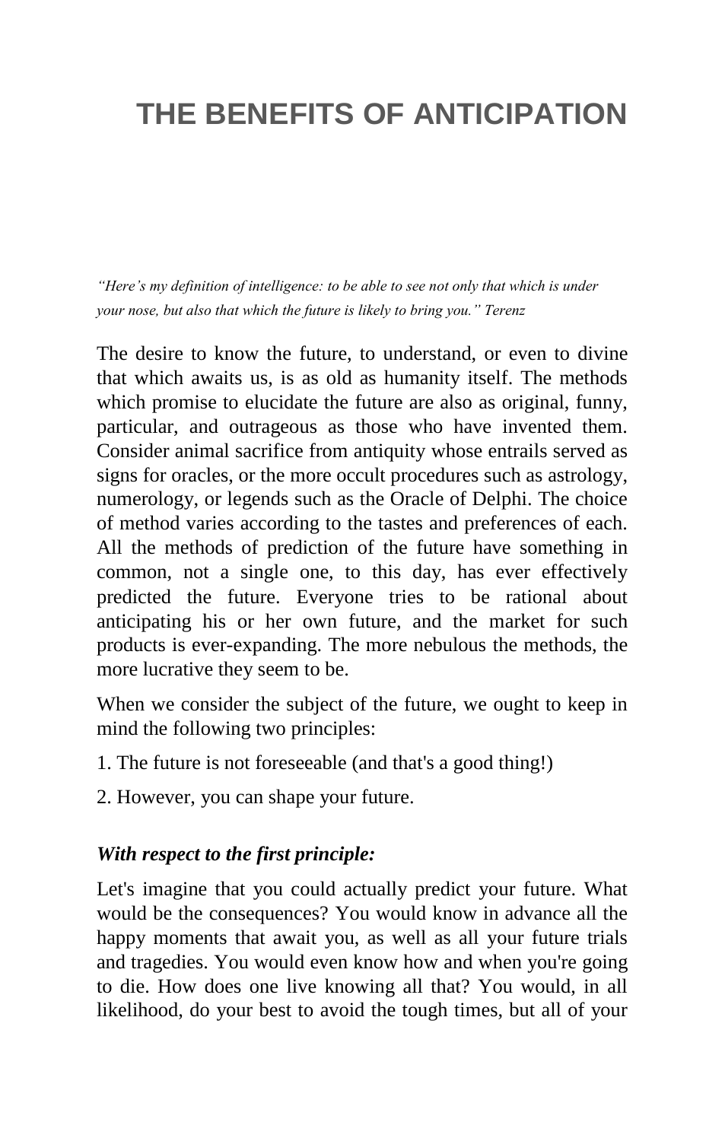# **THE BENEFITS OF ANTICIPATION**

*―Here's my definition of intelligence: to be able to see not only that which is under your nose, but also that which the future is likely to bring you.‖ Terenz*

The desire to know the future, to understand, or even to divine that which awaits us, is as old as humanity itself. The methods which promise to elucidate the future are also as original, funny, particular, and outrageous as those who have invented them. Consider animal sacrifice from antiquity whose entrails served as signs for oracles, or the more occult procedures such as astrology, numerology, or legends such as the Oracle of Delphi. The choice of method varies according to the tastes and preferences of each. All the methods of prediction of the future have something in common, not a single one, to this day, has ever effectively predicted the future. Everyone tries to be rational about anticipating his or her own future, and the market for such products is ever-expanding. The more nebulous the methods, the more lucrative they seem to be.

When we consider the subject of the future, we ought to keep in mind the following two principles:

- 1. The future is not foreseeable (and that's a good thing!)
- 2. However, you can shape your future.

#### *With respect to the first principle:*

Let's imagine that you could actually predict your future. What would be the consequences? You would know in advance all the happy moments that await you, as well as all your future trials and tragedies. You would even know how and when you're going to die. How does one live knowing all that? You would, in all likelihood, do your best to avoid the tough times, but all of your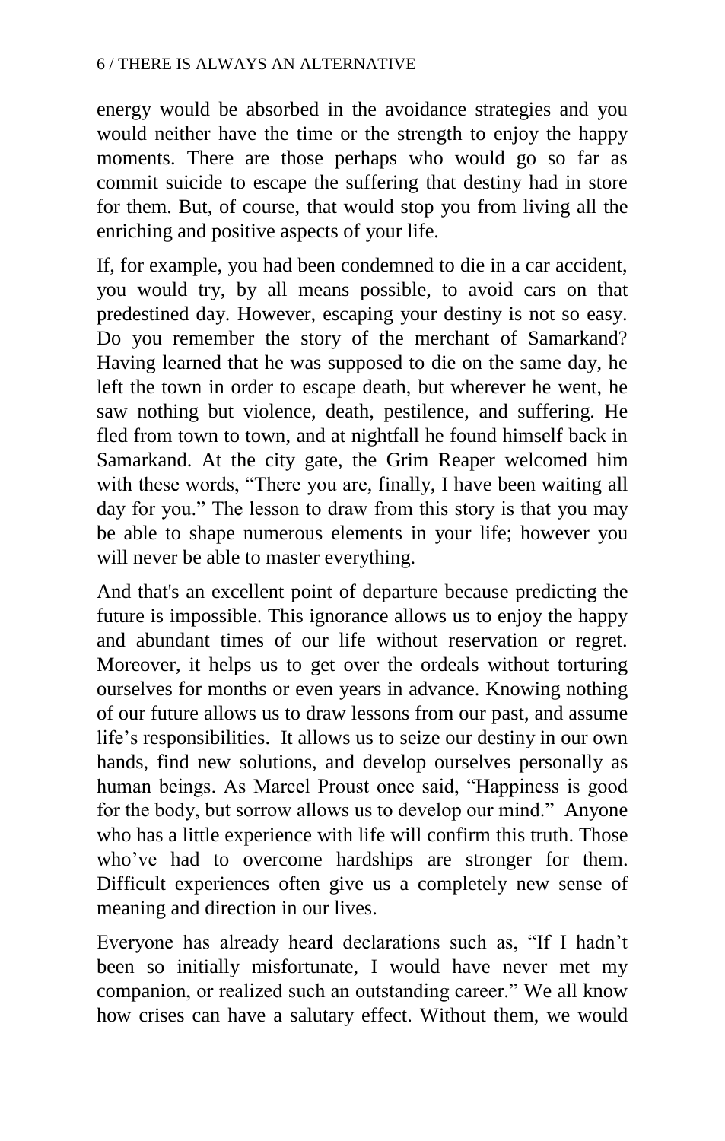energy would be absorbed in the avoidance strategies and you would neither have the time or the strength to enjoy the happy moments. There are those perhaps who would go so far as commit suicide to escape the suffering that destiny had in store for them. But, of course, that would stop you from living all the enriching and positive aspects of your life.

If, for example, you had been condemned to die in a car accident, you would try, by all means possible, to avoid cars on that predestined day. However, escaping your destiny is not so easy. Do you remember the story of the merchant of Samarkand? Having learned that he was supposed to die on the same day, he left the town in order to escape death, but wherever he went, he saw nothing but violence, death, pestilence, and suffering. He fled from town to town, and at nightfall he found himself back in Samarkand. At the city gate, the Grim Reaper welcomed him with these words, "There you are, finally, I have been waiting all day for you." The lesson to draw from this story is that you may be able to shape numerous elements in your life; however you will never be able to master everything.

And that's an excellent point of departure because predicting the future is impossible. This ignorance allows us to enjoy the happy and abundant times of our life without reservation or regret. Moreover, it helps us to get over the ordeals without torturing ourselves for months or even years in advance. Knowing nothing of our future allows us to draw lessons from our past, and assume life's responsibilities. It allows us to seize our destiny in our own hands, find new solutions, and develop ourselves personally as human beings. As Marcel Proust once said, "Happiness is good for the body, but sorrow allows us to develop our mind." Anyone who has a little experience with life will confirm this truth. Those who've had to overcome hardships are stronger for them. Difficult experiences often give us a completely new sense of meaning and direction in our lives.

Everyone has already heard declarations such as, "If I hadn't been so initially misfortunate, I would have never met my companion, or realized such an outstanding career." We all know how crises can have a salutary effect. Without them, we would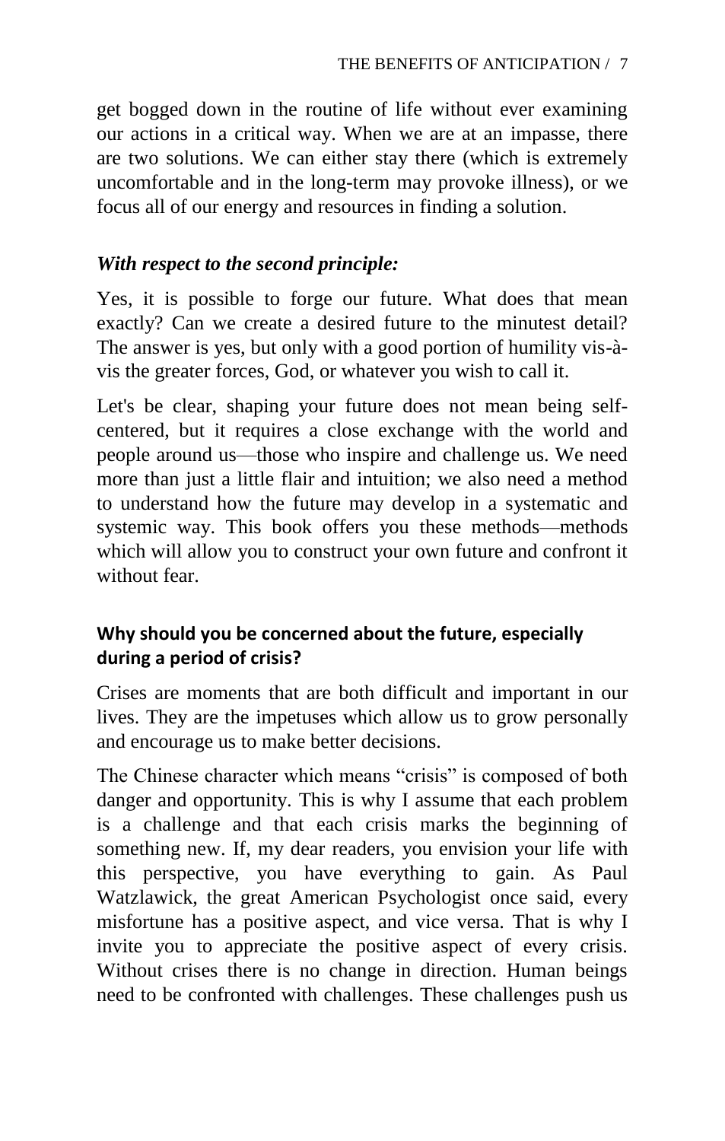get bogged down in the routine of life without ever examining our actions in a critical way. When we are at an impasse, there are two solutions. We can either stay there (which is extremely uncomfortable and in the long-term may provoke illness), or we focus all of our energy and resources in finding a solution.

## *With respect to the second principle:*

Yes, it is possible to forge our future. What does that mean exactly? Can we create a desired future to the minutest detail? The answer is yes, but only with a good portion of humility vis-àvis the greater forces, God, or whatever you wish to call it.

Let's be clear, shaping your future does not mean being selfcentered, but it requires a close exchange with the world and people around us—those who inspire and challenge us. We need more than just a little flair and intuition; we also need a method to understand how the future may develop in a systematic and systemic way. This book offers you these methods—methods which will allow you to construct your own future and confront it without fear.

## **Why should you be concerned about the future, especially during a period of crisis?**

Crises are moments that are both difficult and important in our lives. They are the impetuses which allow us to grow personally and encourage us to make better decisions.

The Chinese character which means "crisis" is composed of both danger and opportunity. This is why I assume that each problem is a challenge and that each crisis marks the beginning of something new. If, my dear readers, you envision your life with this perspective, you have everything to gain. As Paul Watzlawick, the great American Psychologist once said, every misfortune has a positive aspect, and vice versa. That is why I invite you to appreciate the positive aspect of every crisis. Without crises there is no change in direction. Human beings need to be confronted with challenges. These challenges push us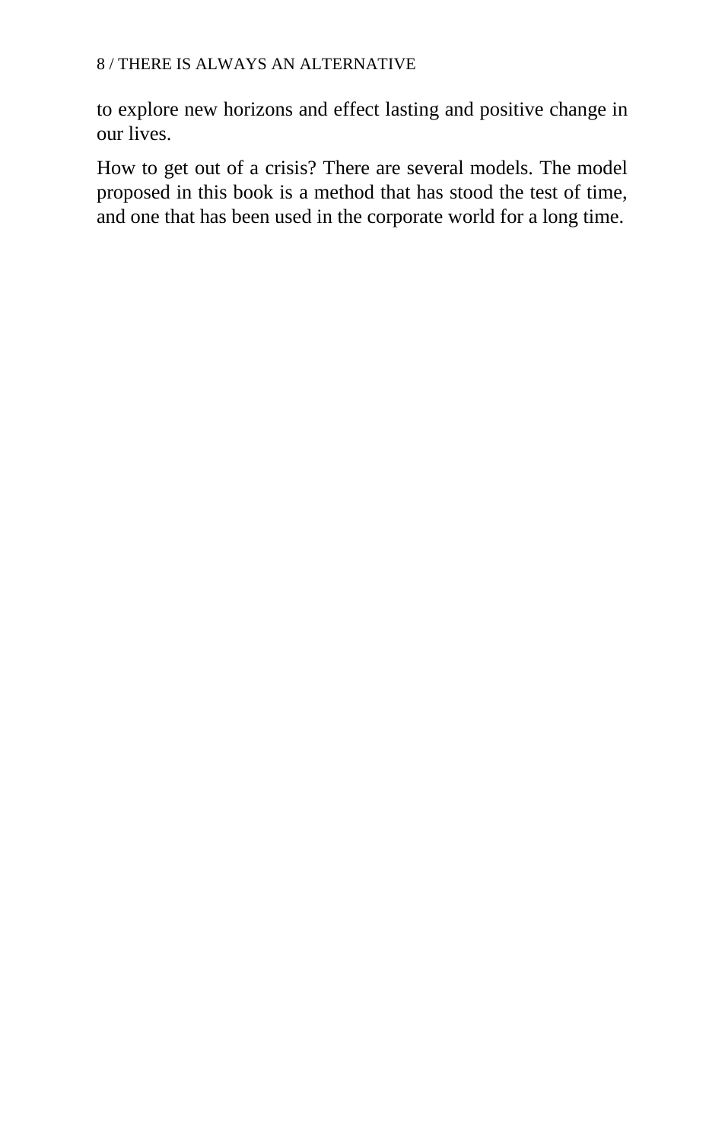to explore new horizons and effect lasting and positive change in our lives.

How to get out of a crisis? There are several models. The model proposed in this book is a method that has stood the test of time, and one that has been used in the corporate world for a long time.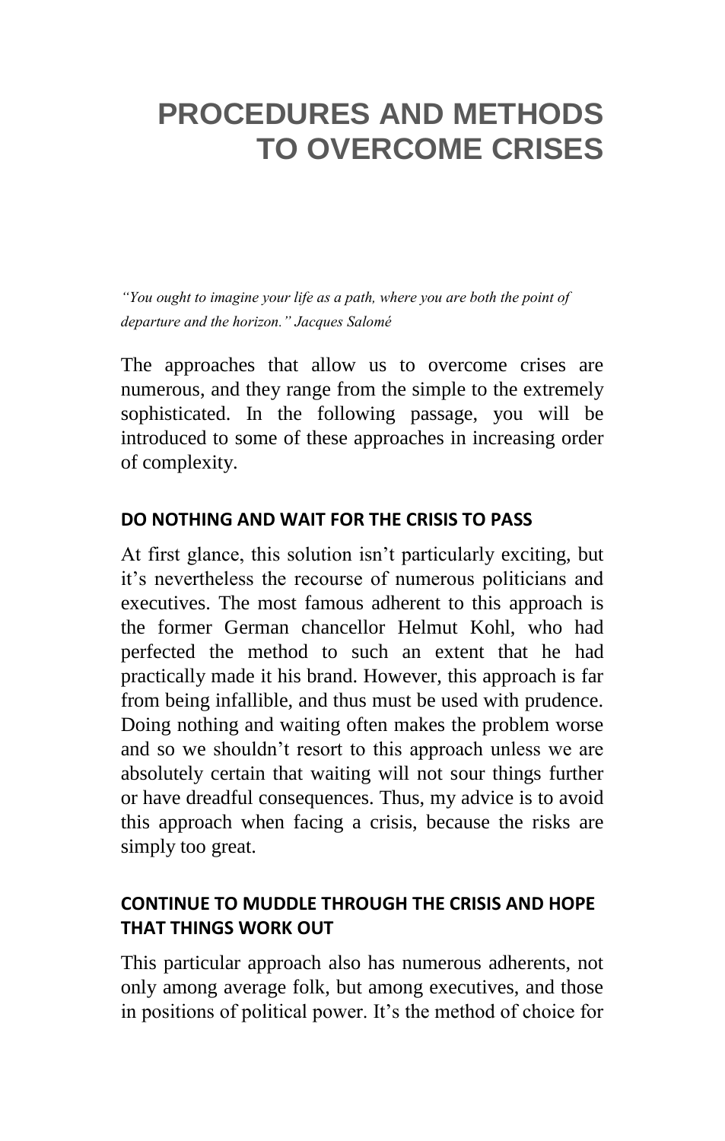## **PROCEDURES AND METHODS TO OVERCOME CRISES**

*―You ought to imagine your life as a path, where you are both the point of departure and the horizon.‖ Jacques Salomé*

The approaches that allow us to overcome crises are numerous, and they range from the simple to the extremely sophisticated. In the following passage, you will be introduced to some of these approaches in increasing order of complexity.

#### **DO NOTHING AND WAIT FOR THE CRISIS TO PASS**

At first glance, this solution isn't particularly exciting, but it's nevertheless the recourse of numerous politicians and executives. The most famous adherent to this approach is the former German chancellor Helmut Kohl, who had perfected the method to such an extent that he had practically made it his brand. However, this approach is far from being infallible, and thus must be used with prudence. Doing nothing and waiting often makes the problem worse and so we shouldn't resort to this approach unless we are absolutely certain that waiting will not sour things further or have dreadful consequences. Thus, my advice is to avoid this approach when facing a crisis, because the risks are simply too great.

### **CONTINUE TO MUDDLE THROUGH THE CRISIS AND HOPE THAT THINGS WORK OUT**

This particular approach also has numerous adherents, not only among average folk, but among executives, and those in positions of political power. It's the method of choice for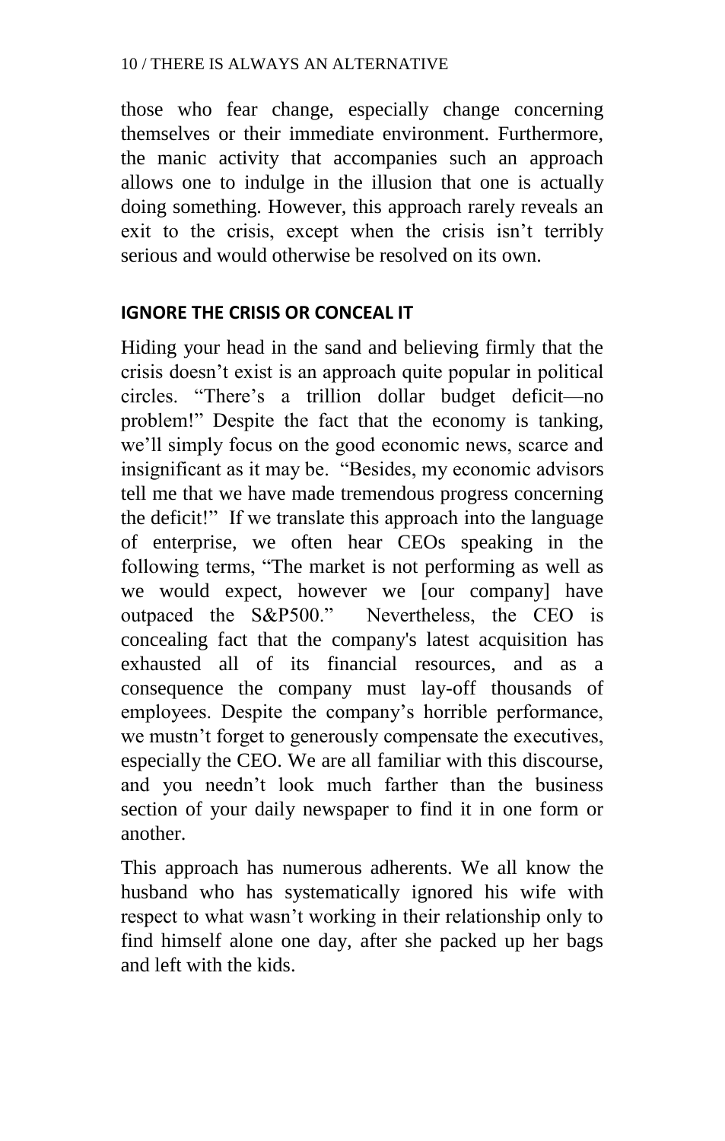those who fear change, especially change concerning themselves or their immediate environment. Furthermore, the manic activity that accompanies such an approach allows one to indulge in the illusion that one is actually doing something. However, this approach rarely reveals an exit to the crisis, except when the crisis isn't terribly serious and would otherwise be resolved on its own.

#### **IGNORE THE CRISIS OR CONCEAL IT**

Hiding your head in the sand and believing firmly that the crisis doesn't exist is an approach quite popular in political circles. ―There's a trillion dollar budget deficit—no problem!‖ Despite the fact that the economy is tanking, we'll simply focus on the good economic news, scarce and insignificant as it may be. "Besides, my economic advisors" tell me that we have made tremendous progress concerning the deficit!" If we translate this approach into the language of enterprise, we often hear CEOs speaking in the following terms, "The market is not performing as well as we would expect, however we [our company] have outpaced the S&P500." Nevertheless, the CEO is concealing fact that the company's latest acquisition has exhausted all of its financial resources, and as a consequence the company must lay-off thousands of employees. Despite the company's horrible performance, we mustn't forget to generously compensate the executives, especially the CEO. We are all familiar with this discourse, and you needn't look much farther than the business section of your daily newspaper to find it in one form or another.

This approach has numerous adherents. We all know the husband who has systematically ignored his wife with respect to what wasn't working in their relationship only to find himself alone one day, after she packed up her bags and left with the kids.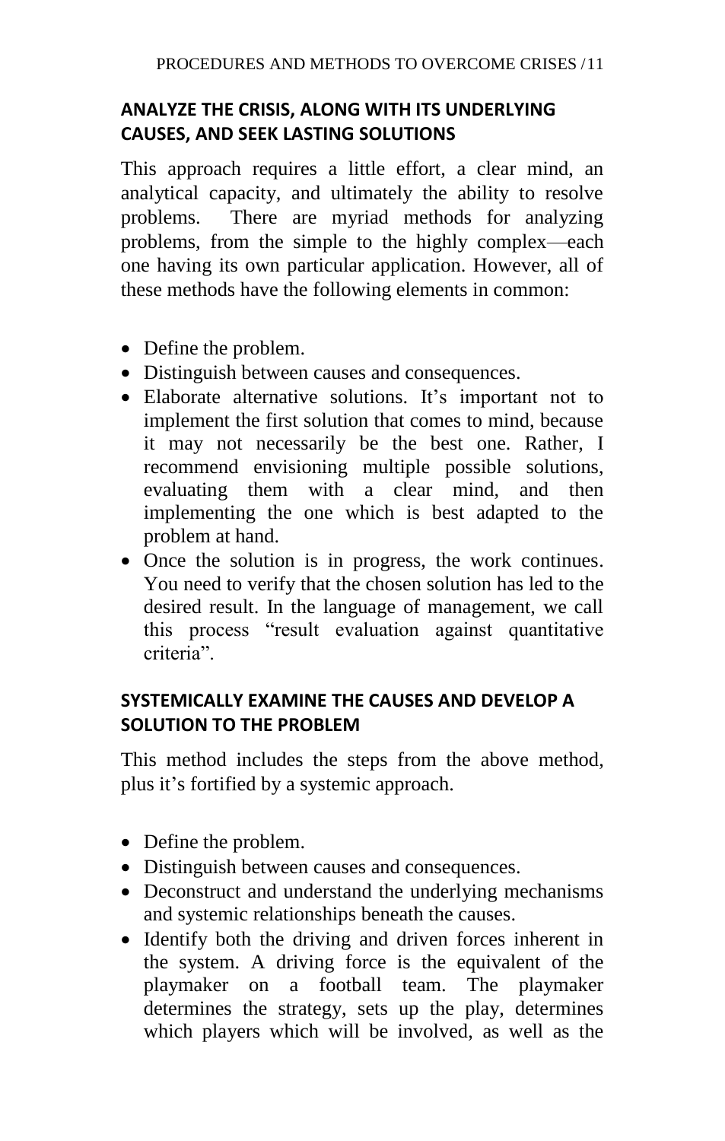## **ANALYZE THE CRISIS, ALONG WITH ITS UNDERLYING CAUSES, AND SEEK LASTING SOLUTIONS**

This approach requires a little effort, a clear mind, an analytical capacity, and ultimately the ability to resolve problems. There are myriad methods for analyzing problems, from the simple to the highly complex—each one having its own particular application. However, all of these methods have the following elements in common:

- Define the problem.
- Distinguish between causes and consequences.
- Elaborate alternative solutions. It's important not to implement the first solution that comes to mind, because it may not necessarily be the best one. Rather, I recommend envisioning multiple possible solutions, evaluating them with a clear mind, and then implementing the one which is best adapted to the problem at hand.
- Once the solution is in progress, the work continues. You need to verify that the chosen solution has led to the desired result. In the language of management, we call this process "result evaluation against quantitative criteria"

## **SYSTEMICALLY EXAMINE THE CAUSES AND DEVELOP A SOLUTION TO THE PROBLEM**

This method includes the steps from the above method, plus it's fortified by a systemic approach.

- Define the problem.
- Distinguish between causes and consequences.
- Deconstruct and understand the underlying mechanisms and systemic relationships beneath the causes.
- Identify both the driving and driven forces inherent in the system. A driving force is the equivalent of the playmaker on a football team. The playmaker determines the strategy, sets up the play, determines which players which will be involved, as well as the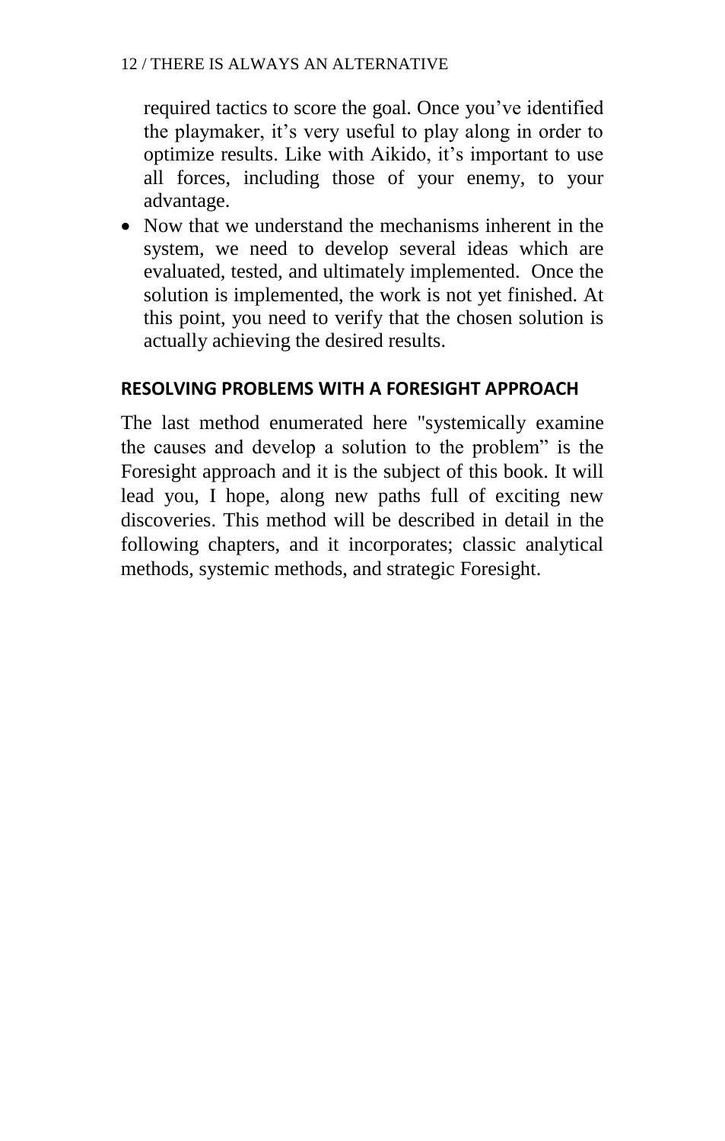required tactics to score the goal. Once you've identified the playmaker, it's very useful to play along in order to optimize results. Like with Aikido, it's important to use all forces, including those of your enemy, to your advantage.

• Now that we understand the mechanisms inherent in the system, we need to develop several ideas which are evaluated, tested, and ultimately implemented. Once the solution is implemented, the work is not yet finished. At this point, you need to verify that the chosen solution is actually achieving the desired results.

#### **RESOLVING PROBLEMS WITH A FORESIGHT APPROACH**

The last method enumerated here "systemically examine the causes and develop a solution to the problem" is the Foresight approach and it is the subject of this book. It will lead you, I hope, along new paths full of exciting new discoveries. This method will be described in detail in the following chapters, and it incorporates; classic analytical methods, systemic methods, and strategic Foresight.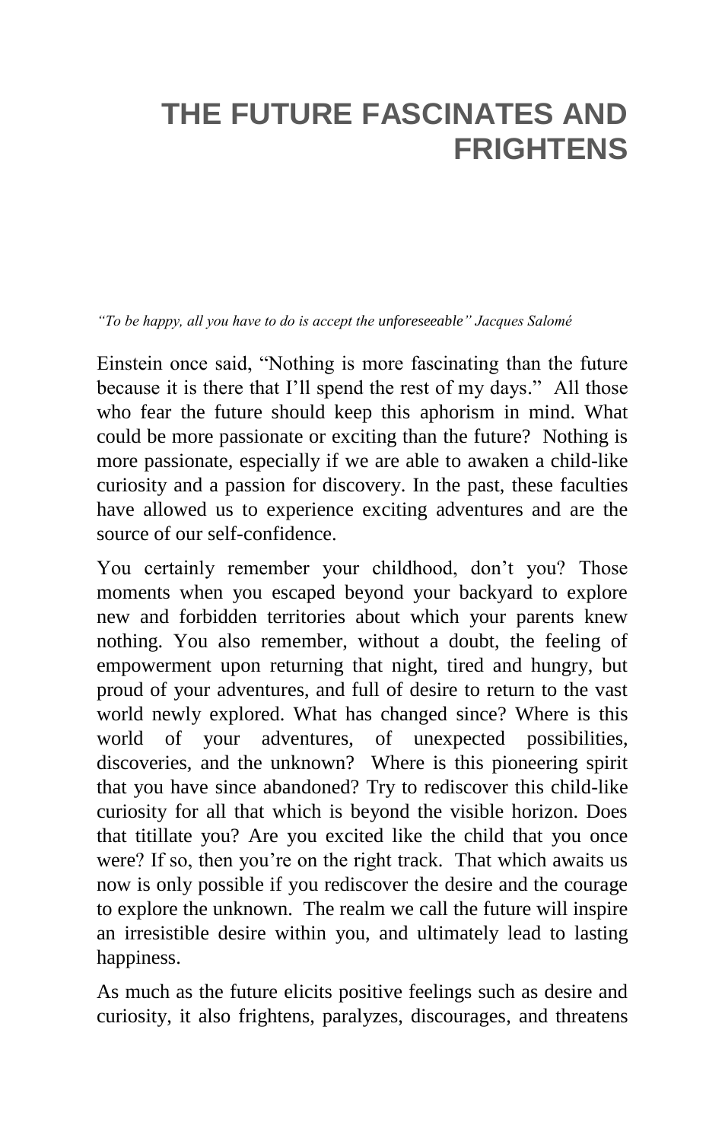## **THE FUTURE FASCINATES AND FRIGHTENS**

*―To be happy, all you have to do is accept the unforeseeable‖ Jacques Salomé*

Einstein once said, "Nothing is more fascinating than the future because it is there that I'll spend the rest of my days." All those who fear the future should keep this aphorism in mind. What could be more passionate or exciting than the future? Nothing is more passionate, especially if we are able to awaken a child-like curiosity and a passion for discovery. In the past, these faculties have allowed us to experience exciting adventures and are the source of our self-confidence.

You certainly remember your childhood, don't you? Those moments when you escaped beyond your backyard to explore new and forbidden territories about which your parents knew nothing. You also remember, without a doubt, the feeling of empowerment upon returning that night, tired and hungry, but proud of your adventures, and full of desire to return to the vast world newly explored. What has changed since? Where is this world of your adventures, of unexpected possibilities, discoveries, and the unknown? Where is this pioneering spirit that you have since abandoned? Try to rediscover this child-like curiosity for all that which is beyond the visible horizon. Does that titillate you? Are you excited like the child that you once were? If so, then you're on the right track. That which awaits us now is only possible if you rediscover the desire and the courage to explore the unknown. The realm we call the future will inspire an irresistible desire within you, and ultimately lead to lasting happiness.

As much as the future elicits positive feelings such as desire and curiosity, it also frightens, paralyzes, discourages, and threatens